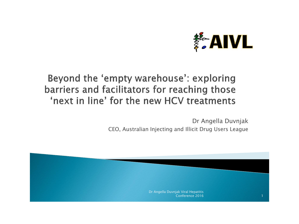

### Beyond the 'empty warehouse': exploring barriers and facilitators for reaching those 'next in line' for the new HCV treatments

Dr Angella Duvnjak CEO, Australian Injecting and Illicit Drug Users League

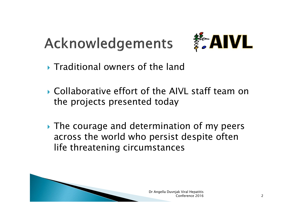# Acknowledgements



- **Traditional owners of the land**
- ▶ Collaborative effort of the AIVL staff team on the projects presented today
- **► The courage and determination of my peers** across the world who persist despite often life threatening circumstances

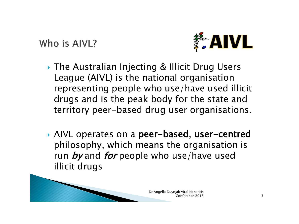Who is AIVL?



- ▶ The Australian Injecting & Illicit Drug Users League (AIVL) is the national organisation representing people who use/have used illicit drugs and is the peak body for the state and territory peer-based drug user organisations.
- AIVL operates on a peer-based, user-centred philosophy, which means the organisation is run by and for people who use/have used illicit drugs

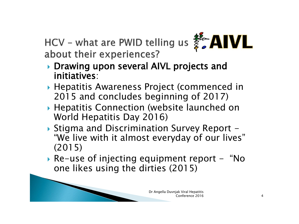HCV - what are PWID telling us  $\frac{25}{5}$  AIVL about their experiences?



- ▶ Drawing upon several AIVL projects and initiatives:
- Hepatitis Awareness Project (commenced in 2015 and concludes beginning of 2017)
- Hepatitis Connection (website launched on World Hepatitis Day 2016)
- ▶ Stigma and Discrimination Survey Report -"We live with it almost everyday of our lives" (2015)
- Re-use of injecting equipment report "No one likes using the dirties (2015)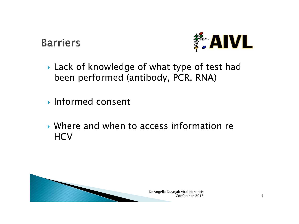**Barriers** 



- ▶ Lack of knowledge of what type of test had been performed (antibody, PCR, RNA)
- **Informed consent**
- Where and when to access information re **HCV**

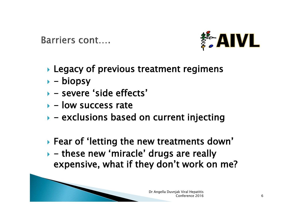Barriers cont....



- ▶ Legacy of previous treatment regimens
- $\rightarrow$  biopsy
- severe 'side effects'
- $\rightarrow$  low success rate
- $\rightarrow$  exclusions based on current injecting

 Fear of 'letting the new treatments down'  $\rightarrow$  - these new 'miracle' drugs are really expensive, what if they don't work on me?

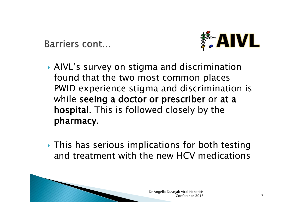Barriers cont...



- AIVL's survey on stigma and discrimination found that the two most common places PWID experience stigma and discrimination is while seeing a doctor or prescriber or at a hospital. This is followed closely by the pharmacy.
- **This has serious implications for both testing** and treatment with the new HCV medications

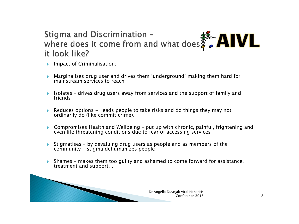#### Stigma and Discrimination -Stigma and Discrimination -<br>where does it come from and what does  $\frac{2}{5}$  AIVL it look like?

- $\blacktriangleright$  Impact of Criminalisation:
- Marginalises drug user and drives them 'underground' making them hard for mainstream services to reach
- Isolates drives drug users away from services and the support of family and friends
- Reduces options leads people to take risks and do things they may not ordinarily do (like commit crime).
- ▶ Compromises Health and Wellbeing put up with chronic, painful, frightening and even life threatening conditions due to fear of accessing services
- Stigmatises by devaluing drug users as people and as members of the community - stigma dehumanizes people
- $\triangleright$  Shames makes them too guilty and ashamed to come forward for assistance, treatment and support…

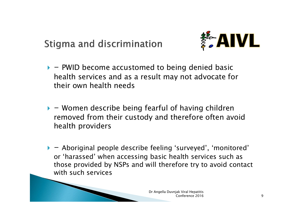Stigma and discrimination



- $\triangleright$  PWID become accustomed to being denied basic health services and as a result may not advocate for their own health needs
- $\blacktriangleright$  Women describe being fearful of having children removed from their custody and therefore often avoid health providers

 $\blacktriangleright$   $-$  Aboriginal people describe feeling 'surveyed', 'monitored' or 'harassed' when accessing basic health services such as those provided by NSPs and will therefore try to avoid contact with such services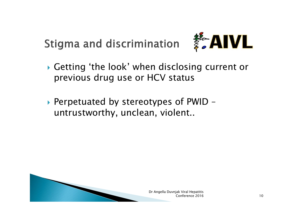Stigma and discrimination



- Getting 'the look' when disclosing current or previous drug use or HCV status
- ▶ Perpetuated by stereotypes of PWID untrustworthy, unclean, violent..

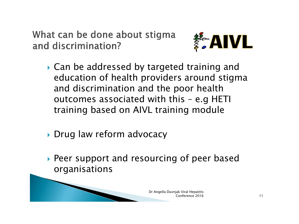What can be done about stigma and discrimination?



- ▶ Can be addressed by targeted training and education of health providers around stigma and discrimination and the poor health outcomes associated with this – e.g HETI training based on AIVL training module
- ▶ Drug law reform advocacy
- Peer support and resourcing of peer based organisations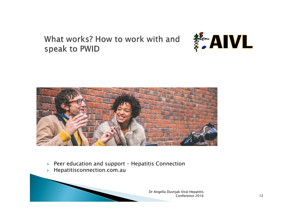What works? How to work with and speak to PWID





- ▶ Peer education and support Hepatitis Connection
- Hepatitisconnection.com.au

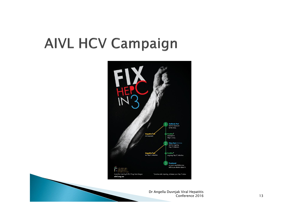## **AIVL HCV Campaign**

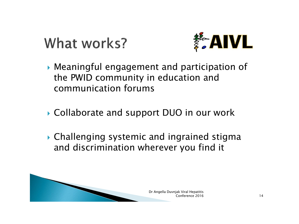## What works?



- Meaningful engagement and participation of the PWID community in education and communication forums
- ▶ Collaborate and support DUO in our work
- Challenging systemic and ingrained stigma and discrimination wherever you find it

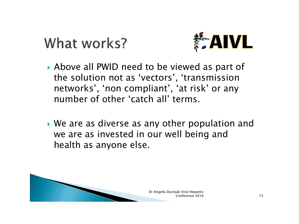## What works?



- Above all PWID need to be viewed as part of the solution not as 'vectors', 'transmission networks', 'non compliant', 'at risk' or any number of other 'catch all' terms.
- We are as diverse as any other population and we are as invested in our well being and health as anyone else.